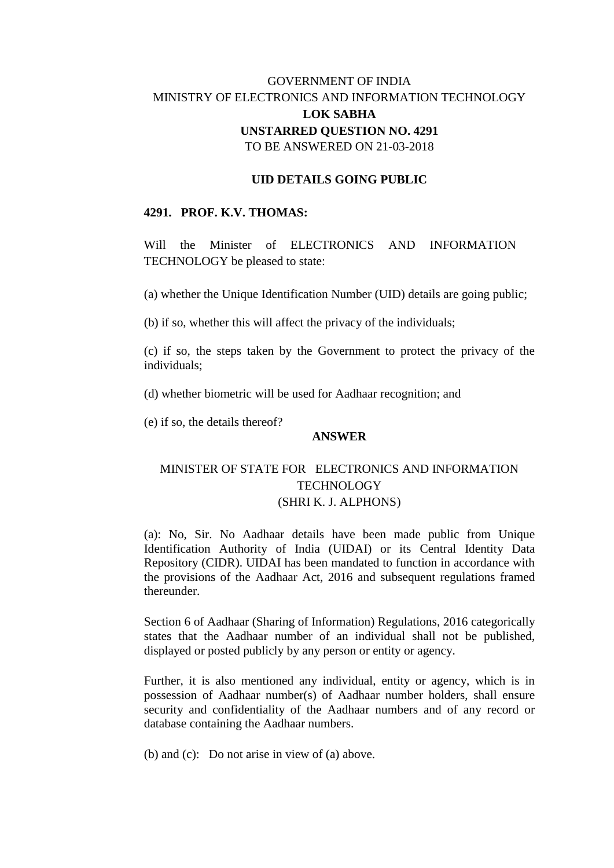# GOVERNMENT OF INDIA MINISTRY OF ELECTRONICS AND INFORMATION TECHNOLOGY **LOK SABHA UNSTARRED QUESTION NO. 4291** TO BE ANSWERED ON 21-03-2018

### **UID DETAILS GOING PUBLIC**

#### **4291. PROF. K.V. THOMAS:**

Will the Minister of ELECTRONICS AND INFORMATION TECHNOLOGY be pleased to state:

(a) whether the Unique Identification Number (UID) details are going public;

(b) if so, whether this will affect the privacy of the individuals;

(c) if so, the steps taken by the Government to protect the privacy of the individuals;

(d) whether biometric will be used for Aadhaar recognition; and

(e) if so, the details thereof?

#### **ANSWER**

## MINISTER OF STATE FOR ELECTRONICS AND INFORMATION TECHNOLOGY (SHRI K. J. ALPHONS)

(a): No, Sir. No Aadhaar details have been made public from Unique Identification Authority of India (UIDAI) or its Central Identity Data Repository (CIDR). UIDAI has been mandated to function in accordance with the provisions of the Aadhaar Act, 2016 and subsequent regulations framed thereunder.

Section 6 of Aadhaar (Sharing of Information) Regulations, 2016 categorically states that the Aadhaar number of an individual shall not be published, displayed or posted publicly by any person or entity or agency.

Further, it is also mentioned any individual, entity or agency, which is in possession of Aadhaar number(s) of Aadhaar number holders, shall ensure security and confidentiality of the Aadhaar numbers and of any record or database containing the Aadhaar numbers.

(b) and (c): Do not arise in view of (a) above.